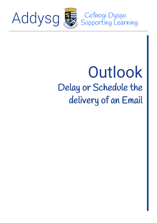

Addysg

Cefnogi Dysgu<br>Supporting Learning

## **Outlook** Delay or Schedule the delivery of an Email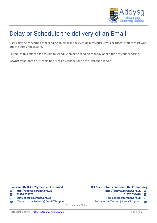

## Delay or Schedule the delivery of an Email

Users may be concerned that sending an email in the evening may cause stress or trigger staff to start work out of hours unnecessarily.

To reduce this effect it is possible to schedule email to send on Monday or at a time of your choosing.

**Beware** your laptop / PC remains or regains connection to the Exchange server.

| <b>Gwasanaeth TGCh Ysgolion a'r Gymuned</b> |  |  |  |  |
|---------------------------------------------|--|--|--|--|
|---------------------------------------------|--|--|--|--|

**@ [http://addysg.cerenet.org.uk](http://addysg.cerenet.org.uk/)** 

 $\sqrt{2}$ **01970 633678** **ICT Service for Schools and the Community** 

- **[http://addysg.cerenet.org.uk](http://addysg.cerenet.org.uk/) @**
- **01970 633678 [servicedesk@cerenet.org.uk](mailto:servicedesk@cerenet.org.uk)**  $\sqrt{m}$  $\overline{\sim}$
- $\boxtimes$ **[servicedesk@cerenet.org.uk](mailto:servicedesk@cerenet.org.uk)**
- Dilynwch ni ar Twitter [@CereICTSupport](https://twitter.com/CereICTSupport)

Follow us on Twitter [@CereICTSupport](https://twitter.com/CereICTSupport)

*Last updated 24-Jan-17*